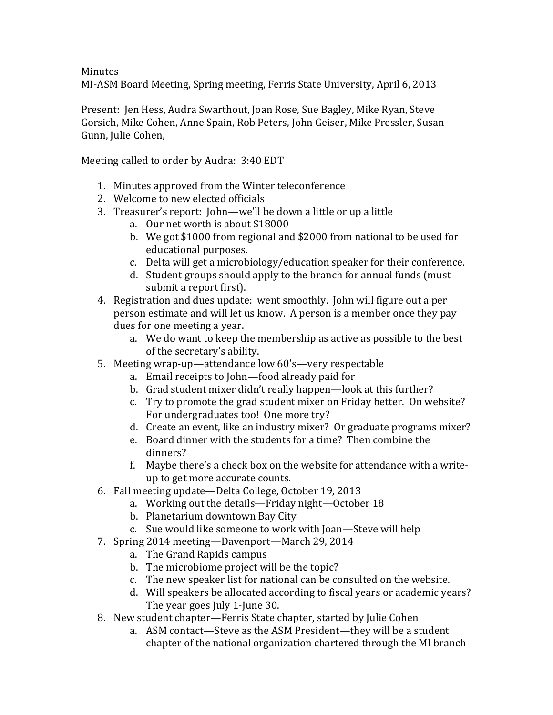**Minutes** 

MI-ASM Board Meeting, Spring meeting, Ferris State University, April 6, 2013

Present: Ien Hess, Audra Swarthout, Joan Rose, Sue Bagley, Mike Ryan, Steve Gorsich, Mike Cohen, Anne Spain, Rob Peters, John Geiser, Mike Pressler, Susan Gunn, Julie Cohen,

Meeting called to order by Audra: 3:40 EDT

- 1. Minutes approved from the Winter teleconference
- 2. Welcome to new elected officials
- 3. Treasurer's report: John—we'll be down a little or up a little
	- a. Our net worth is about \$18000
	- b. We got \$1000 from regional and \$2000 from national to be used for educational purposes.
	- c. Delta will get a microbiology/education speaker for their conference.
	- d. Student groups should apply to the branch for annual funds (must) submit a report first).
- 4. Registration and dues update: went smoothly. John will figure out a per person estimate and will let us know. A person is a member once they pay dues for one meeting a year.
	- a. We do want to keep the membership as active as possible to the best of the secretary's ability.
- 5. Meeting wrap-up—attendance low 60's—very respectable
	- a. Email receipts to John—food already paid for
	- b. Grad student mixer didn't really happen—look at this further?
	- c. Try to promote the grad student mixer on Friday better. On website? For undergraduates too! One more try?
	- d. Create an event, like an industry mixer? Or graduate programs mixer?
	- e. Board dinner with the students for a time? Then combine the dinners?
	- f. Maybe there's a check box on the website for attendance with a writeup to get more accurate counts.
- 6. Fall meeting update—Delta College, October 19, 2013
	- a. Working out the details—Friday night—October 18
	- b. Planetarium downtown Bay City
	- c. Sue would like someone to work with Joan—Steve will help
- 7. Spring 2014 meeting—Davenport—March 29, 2014
	- a. The Grand Rapids campus
	- b. The microbiome project will be the topic?
	- c. The new speaker list for national can be consulted on the website.
	- d. Will speakers be allocated according to fiscal years or academic years? The year goes July 1-June 30.
- 8. New student chapter—Ferris State chapter, started by Julie Cohen
	- a. ASM contact—Steve as the ASM President—they will be a student chapter of the national organization chartered through the MI branch